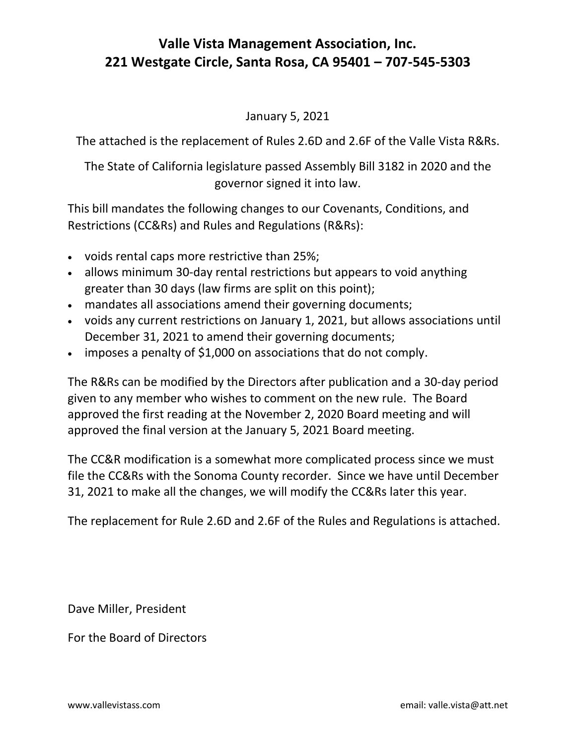## **Valle Vista Management Association, Inc. 221 Westgate Circle, Santa Rosa, CA 95401 – 707-545-5303**

## January 5, 2021

The attached is the replacement of Rules 2.6D and 2.6F of the Valle Vista R&Rs.

The State of California legislature passed Assembly Bill 3182 in 2020 and the governor signed it into law.

This bill mandates the following changes to our Covenants, Conditions, and Restrictions (CC&Rs) and Rules and Regulations (R&Rs):

- voids rental caps more restrictive than 25%;
- allows minimum 30-day rental restrictions but appears to void anything greater than 30 days (law firms are split on this point);
- mandates all associations amend their governing documents;
- voids any current restrictions on January 1, 2021, but allows associations until December 31, 2021 to amend their governing documents;
- imposes a penalty of \$1,000 on associations that do not comply.

The R&Rs can be modified by the Directors after publication and a 30-day period given to any member who wishes to comment on the new rule. The Board approved the first reading at the November 2, 2020 Board meeting and will approved the final version at the January 5, 2021 Board meeting.

The CC&R modification is a somewhat more complicated process since we must file the CC&Rs with the Sonoma County recorder. Since we have until December 31, 2021 to make all the changes, we will modify the CC&Rs later this year.

The replacement for Rule 2.6D and 2.6F of the Rules and Regulations is attached.

Dave Miller, President

For the Board of Directors